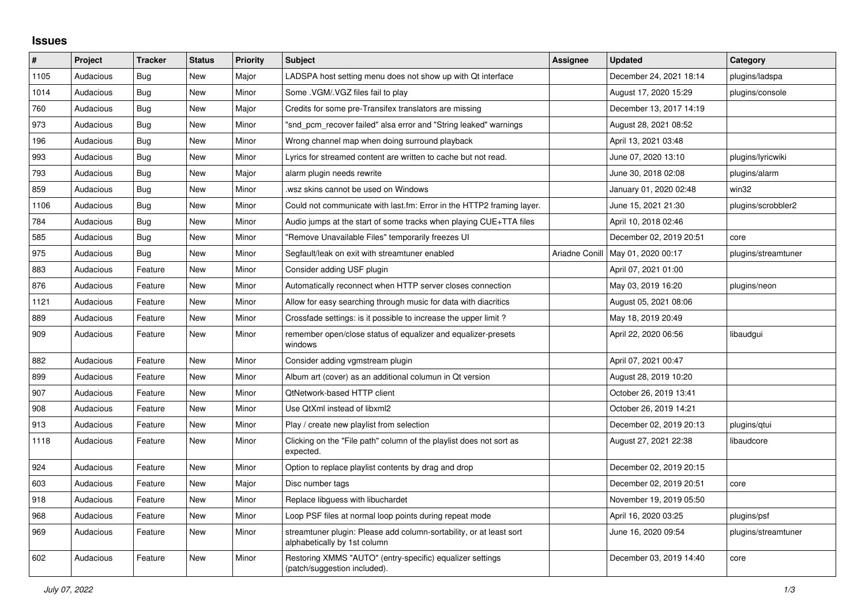## **Issues**

| #    | Project   | <b>Tracker</b> | <b>Status</b> | <b>Priority</b> | <b>Subject</b>                                                                                      | Assignee       | <b>Updated</b>          | Category            |
|------|-----------|----------------|---------------|-----------------|-----------------------------------------------------------------------------------------------------|----------------|-------------------------|---------------------|
| 1105 | Audacious | Bug            | New           | Major           | LADSPA host setting menu does not show up with Qt interface                                         |                | December 24, 2021 18:14 | plugins/ladspa      |
| 1014 | Audacious | Bug            | New           | Minor           | Some . VGM/. VGZ files fail to play                                                                 |                | August 17, 2020 15:29   | plugins/console     |
| 760  | Audacious | Bug            | New           | Major           | Credits for some pre-Transifex translators are missing                                              |                | December 13, 2017 14:19 |                     |
| 973  | Audacious | Bug            | New           | Minor           | "snd pcm recover failed" alsa error and "String leaked" warnings                                    |                | August 28, 2021 08:52   |                     |
| 196  | Audacious | Bug            | New           | Minor           | Wrong channel map when doing surround playback                                                      |                | April 13, 2021 03:48    |                     |
| 993  | Audacious | Bug            | New           | Minor           | Lyrics for streamed content are written to cache but not read.                                      |                | June 07, 2020 13:10     | plugins/lyricwiki   |
| 793  | Audacious | Bug            | <b>New</b>    | Major           | alarm plugin needs rewrite                                                                          |                | June 30, 2018 02:08     | plugins/alarm       |
| 859  | Audacious | Bug            | <b>New</b>    | Minor           | wsz skins cannot be used on Windows                                                                 |                | January 01, 2020 02:48  | win32               |
| 1106 | Audacious | Bug            | <b>New</b>    | Minor           | Could not communicate with last.fm: Error in the HTTP2 framing layer.                               |                | June 15, 2021 21:30     | plugins/scrobbler2  |
| 784  | Audacious | <b>Bug</b>     | New           | Minor           | Audio jumps at the start of some tracks when playing CUE+TTA files                                  |                | April 10, 2018 02:46    |                     |
| 585  | Audacious | <b>Bug</b>     | New           | Minor           | "Remove Unavailable Files" temporarily freezes UI                                                   |                | December 02, 2019 20:51 | core                |
| 975  | Audacious | Bug            | New           | Minor           | Segfault/leak on exit with streamtuner enabled                                                      | Ariadne Conill | May 01, 2020 00:17      | plugins/streamtuner |
| 883  | Audacious | Feature        | New           | Minor           | Consider adding USF plugin                                                                          |                | April 07, 2021 01:00    |                     |
| 876  | Audacious | Feature        | New           | Minor           | Automatically reconnect when HTTP server closes connection                                          |                | May 03, 2019 16:20      | plugins/neon        |
| 1121 | Audacious | Feature        | New           | Minor           | Allow for easy searching through music for data with diacritics                                     |                | August 05, 2021 08:06   |                     |
| 889  | Audacious | Feature        | New           | Minor           | Crossfade settings: is it possible to increase the upper limit?                                     |                | May 18, 2019 20:49      |                     |
| 909  | Audacious | Feature        | <b>New</b>    | Minor           | remember open/close status of equalizer and equalizer-presets<br>windows                            |                | April 22, 2020 06:56    | libaudgui           |
| 882  | Audacious | Feature        | <b>New</b>    | Minor           | Consider adding vgmstream plugin                                                                    |                | April 07, 2021 00:47    |                     |
| 899  | Audacious | Feature        | New           | Minor           | Album art (cover) as an additional columun in Qt version                                            |                | August 28, 2019 10:20   |                     |
| 907  | Audacious | Feature        | New           | Minor           | QtNetwork-based HTTP client                                                                         |                | October 26, 2019 13:41  |                     |
| 908  | Audacious | Feature        | New           | Minor           | Use QtXml instead of libxml2                                                                        |                | October 26, 2019 14:21  |                     |
| 913  | Audacious | Feature        | New           | Minor           | Play / create new playlist from selection                                                           |                | December 02, 2019 20:13 | plugins/qtui        |
| 1118 | Audacious | Feature        | New           | Minor           | Clicking on the "File path" column of the playlist does not sort as<br>expected.                    |                | August 27, 2021 22:38   | libaudcore          |
| 924  | Audacious | Feature        | New           | Minor           | Option to replace playlist contents by drag and drop                                                |                | December 02, 2019 20:15 |                     |
| 603  | Audacious | Feature        | New           | Major           | Disc number tags                                                                                    |                | December 02, 2019 20:51 | core                |
| 918  | Audacious | Feature        | New           | Minor           | Replace libguess with libuchardet                                                                   |                | November 19, 2019 05:50 |                     |
| 968  | Audacious | Feature        | <b>New</b>    | Minor           | Loop PSF files at normal loop points during repeat mode                                             |                | April 16, 2020 03:25    | plugins/psf         |
| 969  | Audacious | Feature        | New           | Minor           | streamtuner plugin: Please add column-sortability, or at least sort<br>alphabetically by 1st column |                | June 16, 2020 09:54     | plugins/streamtuner |
| 602  | Audacious | Feature        | <b>New</b>    | Minor           | Restoring XMMS "AUTO" (entry-specific) equalizer settings<br>(patch/suggestion included).           |                | December 03, 2019 14:40 | core                |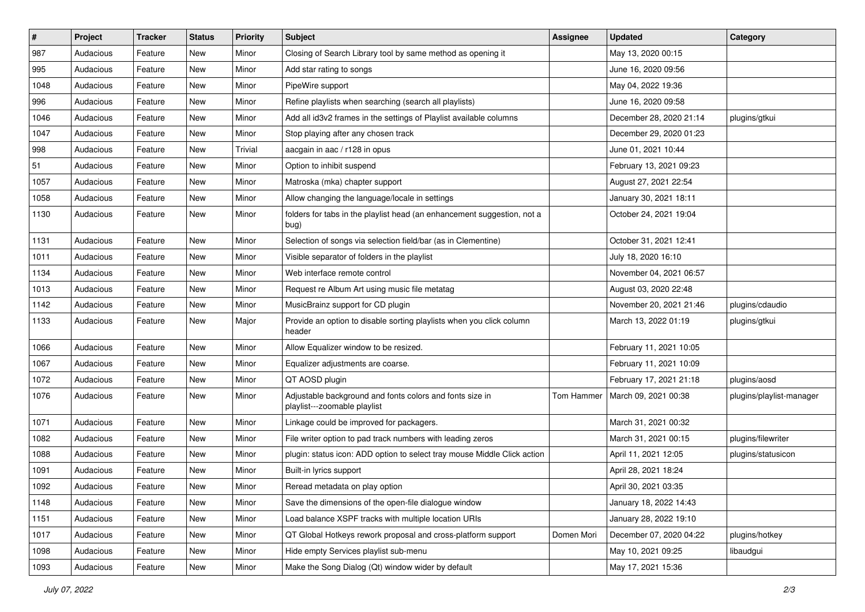| $\vert$ # | Project   | <b>Tracker</b> | <b>Status</b> | <b>Priority</b> | <b>Subject</b>                                                                           | <b>Assignee</b> | <b>Updated</b>          | Category                 |
|-----------|-----------|----------------|---------------|-----------------|------------------------------------------------------------------------------------------|-----------------|-------------------------|--------------------------|
| 987       | Audacious | Feature        | New           | Minor           | Closing of Search Library tool by same method as opening it                              |                 | May 13, 2020 00:15      |                          |
| 995       | Audacious | Feature        | <b>New</b>    | Minor           | Add star rating to songs                                                                 |                 | June 16, 2020 09:56     |                          |
| 1048      | Audacious | Feature        | New           | Minor           | PipeWire support                                                                         |                 | May 04, 2022 19:36      |                          |
| 996       | Audacious | Feature        | New           | Minor           | Refine playlists when searching (search all playlists)                                   |                 | June 16, 2020 09:58     |                          |
| 1046      | Audacious | Feature        | <b>New</b>    | Minor           | Add all id3v2 frames in the settings of Playlist available columns                       |                 | December 28, 2020 21:14 | plugins/gtkui            |
| 1047      | Audacious | Feature        | New           | Minor           | Stop playing after any chosen track                                                      |                 | December 29, 2020 01:23 |                          |
| 998       | Audacious | Feature        | New           | Trivial         | aacgain in aac / r128 in opus                                                            |                 | June 01, 2021 10:44     |                          |
| 51        | Audacious | Feature        | New           | Minor           | Option to inhibit suspend                                                                |                 | February 13, 2021 09:23 |                          |
| 1057      | Audacious | Feature        | New           | Minor           | Matroska (mka) chapter support                                                           |                 | August 27, 2021 22:54   |                          |
| 1058      | Audacious | Feature        | New           | Minor           | Allow changing the language/locale in settings                                           |                 | January 30, 2021 18:11  |                          |
| 1130      | Audacious | Feature        | New           | Minor           | folders for tabs in the playlist head (an enhancement suggestion, not a<br>bug)          |                 | October 24, 2021 19:04  |                          |
| 1131      | Audacious | Feature        | New           | Minor           | Selection of songs via selection field/bar (as in Clementine)                            |                 | October 31, 2021 12:41  |                          |
| 1011      | Audacious | Feature        | New           | Minor           | Visible separator of folders in the playlist                                             |                 | July 18, 2020 16:10     |                          |
| 1134      | Audacious | Feature        | New           | Minor           | Web interface remote control                                                             |                 | November 04, 2021 06:57 |                          |
| 1013      | Audacious | Feature        | New           | Minor           | Request re Album Art using music file metatag                                            |                 | August 03, 2020 22:48   |                          |
| 1142      | Audacious | Feature        | New           | Minor           | MusicBrainz support for CD plugin                                                        |                 | November 20, 2021 21:46 | plugins/cdaudio          |
| 1133      | Audacious | Feature        | New           | Major           | Provide an option to disable sorting playlists when you click column<br>header           |                 | March 13, 2022 01:19    | plugins/gtkui            |
| 1066      | Audacious | Feature        | New           | Minor           | Allow Equalizer window to be resized.                                                    |                 | February 11, 2021 10:05 |                          |
| 1067      | Audacious | Feature        | New           | Minor           | Equalizer adjustments are coarse.                                                        |                 | February 11, 2021 10:09 |                          |
| 1072      | Audacious | Feature        | New           | Minor           | QT AOSD plugin                                                                           |                 | February 17, 2021 21:18 | plugins/aosd             |
| 1076      | Audacious | Feature        | New           | Minor           | Adjustable background and fonts colors and fonts size in<br>playlist---zoomable playlist | Tom Hammer      | March 09, 2021 00:38    | plugins/playlist-manager |
| 1071      | Audacious | Feature        | New           | Minor           | Linkage could be improved for packagers.                                                 |                 | March 31, 2021 00:32    |                          |
| 1082      | Audacious | Feature        | <b>New</b>    | Minor           | File writer option to pad track numbers with leading zeros                               |                 | March 31, 2021 00:15    | plugins/filewriter       |
| 1088      | Audacious | Feature        | New           | Minor           | plugin: status icon: ADD option to select tray mouse Middle Click action                 |                 | April 11, 2021 12:05    | plugins/statusicon       |
| 1091      | Audacious | Feature        | <b>New</b>    | Minor           | Built-in lyrics support                                                                  |                 | April 28, 2021 18:24    |                          |
| 1092      | Audacious | Feature        | New           | Minor           | Reread metadata on play option                                                           |                 | April 30, 2021 03:35    |                          |
| 1148      | Audacious | Feature        | New           | Minor           | Save the dimensions of the open-file dialogue window                                     |                 | January 18, 2022 14:43  |                          |
| 1151      | Audacious | Feature        | New           | Minor           | Load balance XSPF tracks with multiple location URIs                                     |                 | January 28, 2022 19:10  |                          |
| 1017      | Audacious | Feature        | New           | Minor           | QT Global Hotkeys rework proposal and cross-platform support                             | Domen Mori      | December 07, 2020 04:22 | plugins/hotkey           |
| 1098      | Audacious | Feature        | New           | Minor           | Hide empty Services playlist sub-menu                                                    |                 | May 10, 2021 09:25      | libaudgui                |
| 1093      | Audacious | Feature        | New           | Minor           | Make the Song Dialog (Qt) window wider by default                                        |                 | May 17, 2021 15:36      |                          |